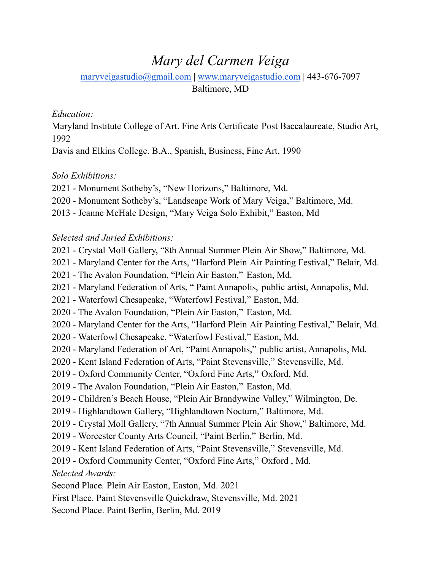# *Mary del Carmen Veiga*

[maryveigastudio@gmail.com](mailto:maryveigastudio@gmail.com) | [www.maryveigastudio.com](http://www.maryveigastudio.com) | 443-676-7097

Baltimore, MD

## *Education:*

Maryland Institute College of Art. Fine Arts Certificate Post Baccalaureate, Studio Art, 

Davis and Elkins College. B.A., Spanish, Business, Fine Art, 1990

## *Solo Exhibitions:*

- Monument Sotheby's, "New Horizons," Baltimore, Md.
- Monument Sotheby's, "Landscape Work of Mary Veiga," Baltimore, Md.
- Jeanne McHale Design, "Mary Veiga Solo Exhibit," Easton, Md

## *Selected and Juried Exhibitions:*

- Crystal Moll Gallery, "8th Annual Summer Plein Air Show," Baltimore, Md.
- Maryland Center for the Arts, "Harford Plein Air Painting Festival," Belair, Md.
- The Avalon Foundation, "Plein Air Easton," Easton, Md.
- Maryland Federation of Arts, " Paint Annapolis, public artist, Annapolis, Md.
- Waterfowl Chesapeake, "Waterfowl Festival," Easton, Md.
- The Avalon Foundation, "Plein Air Easton," Easton, Md.
- Maryland Center for the Arts, "Harford Plein Air Painting Festival," Belair, Md.
- Waterfowl Chesapeake, "Waterfowl Festival," Easton, Md.
- Maryland Federation of Art, "Paint Annapolis," public artist, Annapolis, Md.
- Kent Island Federation of Arts, "Paint Stevensville," Stevensville, Md.
- Oxford Community Center, "Oxford Fine Arts," Oxford, Md.
- The Avalon Foundation, "Plein Air Easton," Easton, Md.
- Children's Beach House, "Plein Air Brandywine Valley," Wilmington, De.
- Highlandtown Gallery, "Highlandtown Nocturn," Baltimore, Md.
- Crystal Moll Gallery, "7th Annual Summer Plein Air Show," Baltimore, Md.
- Worcester County Arts Council, "Paint Berlin," Berlin, Md.
- Kent Island Federation of Arts, "Paint Stevensville," Stevensville, Md.
- Oxford Community Center, "Oxford Fine Arts," Oxford , Md.

*Selected Awards:*

Second Place*.* Plein Air Easton, Easton, Md. 2021

First Place. Paint Stevensville Quickdraw, Stevensville, Md. 2021

Second Place. Paint Berlin, Berlin, Md. 2019